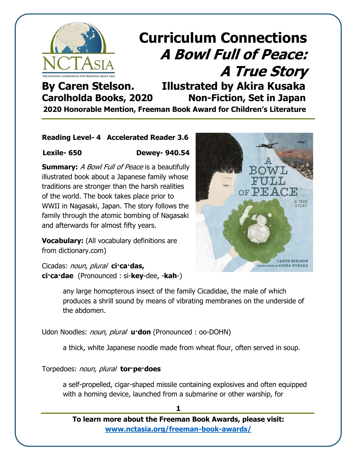

## **Curriculum Connections A Bowl Full of Peace: A True Story By Caren Stelson. Illustrated by Akira Kusaka**

# **Carolholda Books, 2020 Non-Fiction, Set in Japan**

**2020 Honorable Mention, Freeman Book Award for Children's Literature**

### **Reading Level- 4 Accelerated Reader 3.6**

**Lexile- 650 Dewey- 940.54**

**Summary:** A Bowl Full of Peace is a beautifully illustrated book about a Japanese family whose traditions are stronger than the harsh realities of the world. The book takes place prior to WWII in Nagasaki, Japan. The story follows the family through the atomic bombing of Nagasaki and afterwards for almost fifty years.

**Vocabulary:** (All vocabulary definitions are from dictionary.com)

Cicadas: noun, plural **ci·ca·das, ci·ca·dae** (Pronounced : si-**key**-dee, -**kah**-)

> any large homopterous insect of the family Cicadidae, the male of which produces a shrill sound by means of vibrating membranes on the underside of the abdomen.

Udon Noodles: noun, plural **u·don** (Pronounced : oo-DOHN)

a thick, white Japanese noodle made from wheat flour, often served in soup.

Torpedoes: noun, plural **tor·pe·does**

a self-propelled, cigar-shaped missile containing explosives and often equipped with a homing device, launched from a submarine or other warship, for





**1**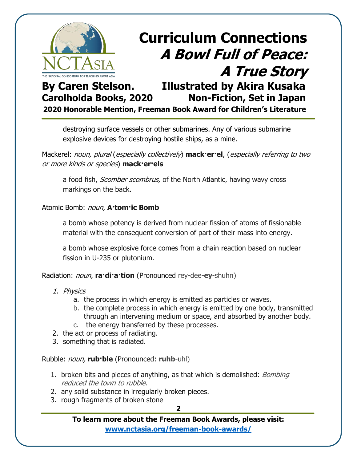

**2020 Honorable Mention, Freeman Book Award for Children's Literature**

destroying surface vessels or other submarines. Any of various submarine explosive devices for destroying hostile ships, as a mine.

Mackerel: noun, plural (especially collectively) **mack·er·el**, (especially referring to two or more kinds or species) **mack·er·els**

a food fish, *Scomber scombrus*, of the North Atlantic, having wavy cross markings on the back.

#### Atomic Bomb: noun, **A·tom·ic Bomb**

a bomb whose potency is derived from nuclear fission of atoms of fissionable material with the consequent conversion of part of their mass into energy.

a bomb whose explosive force comes from a chain reaction based on nuclear fission in U-235 or plutonium.

Radiation: noun, **ra·di·a·tion** (Pronounced rey-dee-**ey**-shuhn)

- 1. Physics
	- a. the process in which energy is emitted as particles or waves.
	- b. the complete process in which energy is emitted by one body, transmitted through an intervening medium or space, and absorbed by another body.
	- c. the energy transferred by these processes.
- 2. the act or process of radiating.
- 3. something that is radiated.

Rubble: noun, **rub·ble** (Pronounced: **ruhb**-uhl)

- 1. broken bits and pieces of anything, as that which is demolished: *Bombing* reduced the town to rubble.
- 2. any solid substance in irregularly broken pieces.
- 3. rough fragments of broken stone

**2**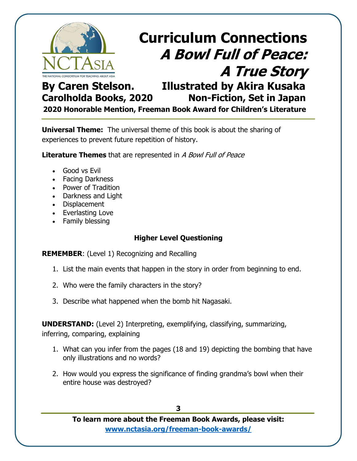

**Carolholda Books, 2020 Non-Fiction, Set in Japan**

**2020 Honorable Mention, Freeman Book Award for Children's Literature**

**Universal Theme:** The universal theme of this book is about the sharing of experiences to prevent future repetition of history.

**Literature Themes** that are represented in A Bowl Full of Peace

- Good vs Evil
- Facing Darkness
- Power of Tradition
- Darkness and Light
- Displacement
- Everlasting Love
- Family blessing

### **Higher Level Questioning**

**REMEMBER**: (Level 1) Recognizing and Recalling

- 1. List the main events that happen in the story in order from beginning to end.
- 2. Who were the family characters in the story?
- 3. Describe what happened when the bomb hit Nagasaki.

**UNDERSTAND:** (Level 2) Interpreting, exemplifying, classifying, summarizing, inferring, comparing, explaining

- 1. What can you infer from the pages (18 and 19) depicting the bombing that have only illustrations and no words?
- 2. How would you express the significance of finding grandma's bowl when their entire house was destroyed?

**3**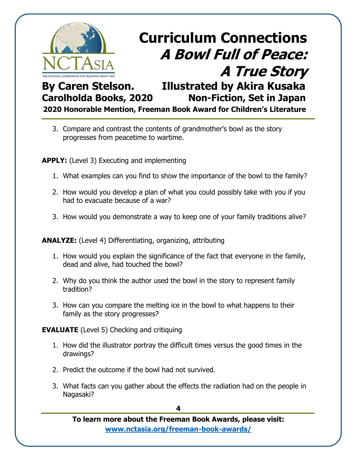

## **Curriculum Connections A Bowl Full of Peace: A True Story By Caren Stelson. Illustrated by Akira Kusaka**

**Carolholda Books, 2020 Non-Fiction, Set in Japan**

**2020 Honorable Mention, Freeman Book Award for Children's Literature**

3. Compare and contrast the contents of grandmother's bowl as the story progresses from peacetime to wartime.

**APPLY:** (Level 3) Executing and implementing

- 1. What examples can you find to show the importance of the bowl to the family?
- 2. How would you develop a plan of what you could possibly take with you if you had to evacuate because of a war?
- 3. How would you demonstrate a way to keep one of your family traditions alive?

**ANALYZE:** (Level 4) Differentiating, organizing, attributing

- 1. How would you explain the significance of the fact that everyone in the family, dead and alive, had touched the bowl?
- 2. Why do you think the author used the bowl in the story to represent family tradition?
- 3. How can you compare the melting ice in the bowl to what happens to their family as the story progresses?

**EVALUATE** (Level 5) Checking and critiquing

- 1. How did the illustrator portray the difficult times versus the good times in the drawings?
- 2. Predict the outcome if the bowl had not survived.
- 3. What facts can you gather about the effects the radiation had on the people in Nagasaki?

**4**

**To learn more about the Freeman Book Awards, please visit: [www.nctasia.org/freeman-book-awards/](https://nctasia.org/freeman-book-awards/)**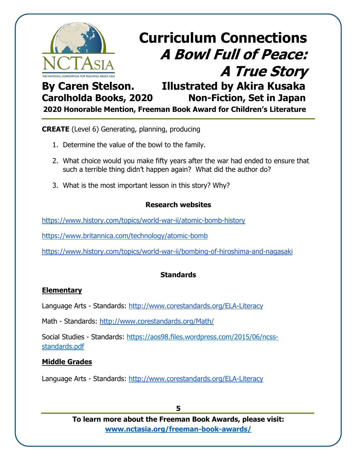

**2020 Honorable Mention, Freeman Book Award for Children's Literature**

**CREATE** (Level 6) Generating, planning, producing

- 1. Determine the value of the bowl to the family.
- 2. What choice would you make fifty years after the war had ended to ensure that such a terrible thing didn't happen again? What did the author do?
- 3. What is the most important lesson in this story? Why?

#### **Research websites**

<https://www.history.com/topics/world-war-ii/atomic-bomb-history>

<https://www.britannica.com/technology/atomic-bomb>

<https://www.history.com/topics/world-war-ii/bombing-of-hiroshima-and-nagasaki>

#### **Standards**

#### **Elementary**

Language Arts - Standards: <http://www.corestandards.org/ELA-Literacy>

Math - Standards:<http://www.corestandards.org/Math/>

Social Studies - Standards: [https://aos98.files.wordpress.com/2015/06/ncss](https://aos98.files.wordpress.com/2015/06/ncss-standards.pdf)[standards.pdf](https://aos98.files.wordpress.com/2015/06/ncss-standards.pdf)

#### **Middle Grades**

Language Arts - Standards: <http://www.corestandards.org/ELA-Literacy>